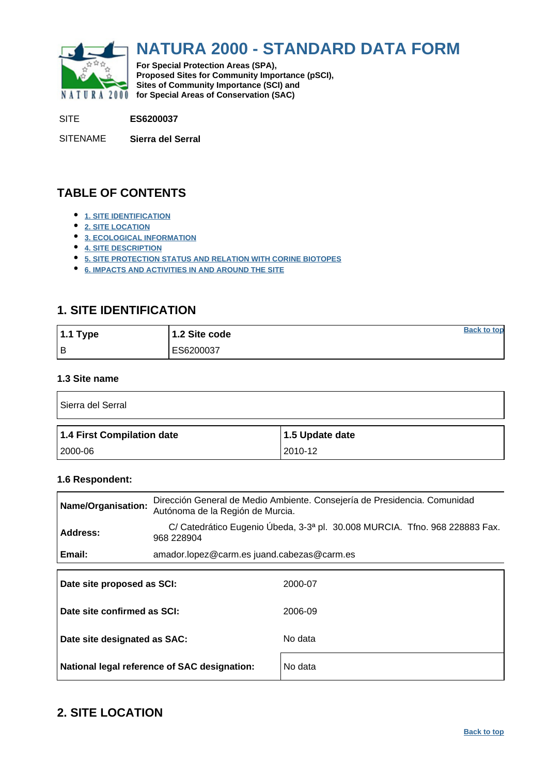<span id="page-0-0"></span>

# **NATURA 2000 - STANDARD DATA FORM**

**For Special Protection Areas (SPA), Proposed Sites for Community Importance (pSCI), Sites of Community Importance (SCI) and NATURA 2000 for Special Areas of Conservation (SAC)** 

SITE **ES6200037**

SITENAME **Sierra del Serral**

# **TABLE OF CONTENTS**

- **[1. SITE IDENTIFICATION](#page-0-1)**
- **[2. SITE LOCATION](#page-0-2)**
- **[3. ECOLOGICAL INFORMATION](#page-1-0)**
- **[4. SITE DESCRIPTION](#page-6-0)**
- **[5. SITE PROTECTION STATUS AND RELATION WITH CORINE BIOTOPES](#page-7-0)**
- **[6. IMPACTS AND ACTIVITIES IN AND AROUND THE SITE](#page-8-0)**

# <span id="page-0-1"></span>**1. SITE IDENTIFICATION**

| 1.1 Type | 1.2 Site code | <b>Back to top</b> |
|----------|---------------|--------------------|
| Iв       | ES6200037     |                    |

# **1.3 Site name**

| Sierra del Serral          |                 |
|----------------------------|-----------------|
| 1.4 First Compilation date | 1.5 Update date |
|                            |                 |

### **1.6 Respondent:**

| Dirección General de Medio Ambiente. Consejería de Presidencia. Comunidad<br>Name/Organisation:<br>Autónoma de la Región de Murcia. |                                                                                           |         |  |  |  |  |  |  |
|-------------------------------------------------------------------------------------------------------------------------------------|-------------------------------------------------------------------------------------------|---------|--|--|--|--|--|--|
| <b>Address:</b>                                                                                                                     | C/ Catedrático Eugenio Úbeda, 3-3ª pl. 30.008 MURCIA. Tfno. 968 228883 Fax.<br>968 228904 |         |  |  |  |  |  |  |
| Email:                                                                                                                              | amador.lopez@carm.es juand.cabezas@carm.es                                                |         |  |  |  |  |  |  |
| Date site proposed as SCI:                                                                                                          |                                                                                           | 2000-07 |  |  |  |  |  |  |
| Date site confirmed as SCI:                                                                                                         |                                                                                           | 2006-09 |  |  |  |  |  |  |

| Date site designated as SAC:                 | No data |
|----------------------------------------------|---------|
| National legal reference of SAC designation: | No data |

# <span id="page-0-2"></span>**2. SITE LOCATION**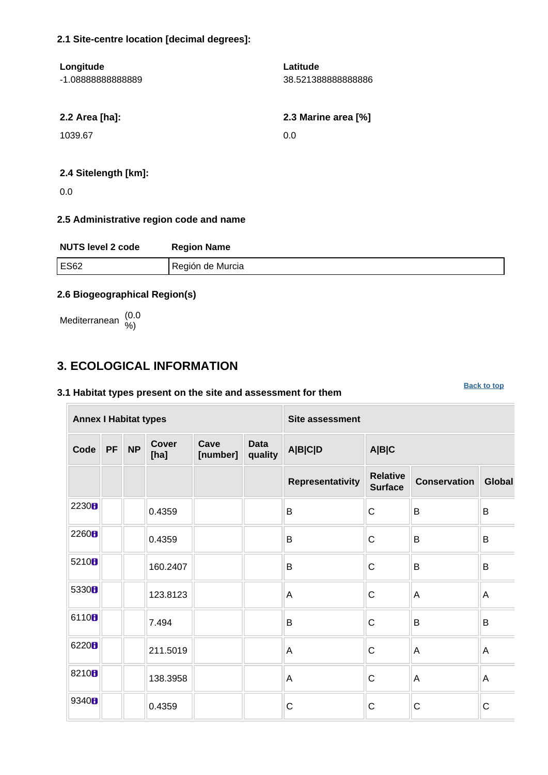### **2.1 Site-centre location [decimal degrees]:**

| Longitude<br>-1.0888888888889 | Latitude<br>38.521388888888886 |
|-------------------------------|--------------------------------|
| 2.2 Area [ha]:                | 2.3 Marine area [%]            |
| 1039.67                       | 0.0                            |

### **2.4 Sitelength [km]:**

0.0

# **2.5 Administrative region code and name**

| <b>NUTS level 2 code</b> | <b>Region Name</b> |
|--------------------------|--------------------|
| <b>ES62</b>              | Región de Murcia   |

### **2.6 Biogeographical Region(s)**

Mediterranean (0.0 %)

# <span id="page-1-0"></span>**3. ECOLOGICAL INFORMATION**

# **3.1 Habitat types present on the site and assessment for them**

**Annex I Habitat types Site assessment Code PF NP Cover [ha] Cave [number] Data quality A|B|C|D A|B|C Representativity Relative Conservation Global** 2230 **b**  $\begin{array}{|c|c|c|c|c|c|}\n\hline\n0.4359 & \multicolumn{1}{|c|}{B} & \multicolumn{1}{|c|}{B} & \multicolumn{1}{|c|}{B} & \multicolumn{1}{|c|}{B} & \multicolumn{1}{|c|}{B} & \multicolumn{1}{|c|}{B} & \multicolumn{1}{|c|}{B} & \multicolumn{1}{|c|}{B} & \multicolumn{1}{|c|}{B} & \multicolumn{1}{|c|}{B} & \multicolumn{1}{|c|}{B} & \multicolumn{1}{|c|}{B} & \multicolumn{1}{|c|}{B$ <sup>2260</sup> 0.4359 B C B B 5210  $\blacksquare$  160.2407 | B C B B 5330  $\parallel$  123.8123  $\parallel$  A  $\parallel$  A  $\parallel$  A  $\parallel$  A <sup>6110</sup> 7.494 B C B B <sup>6220</sup> 211.5019 A C A A 8210  $\blacksquare$  138.3958  $\blacksquare$  A  $\blacksquare$  C  $\blacksquare$  A  $\blacksquare$  A 9340 **D** 0.4359 C C C C C

**[Back to top](#page-0-0)**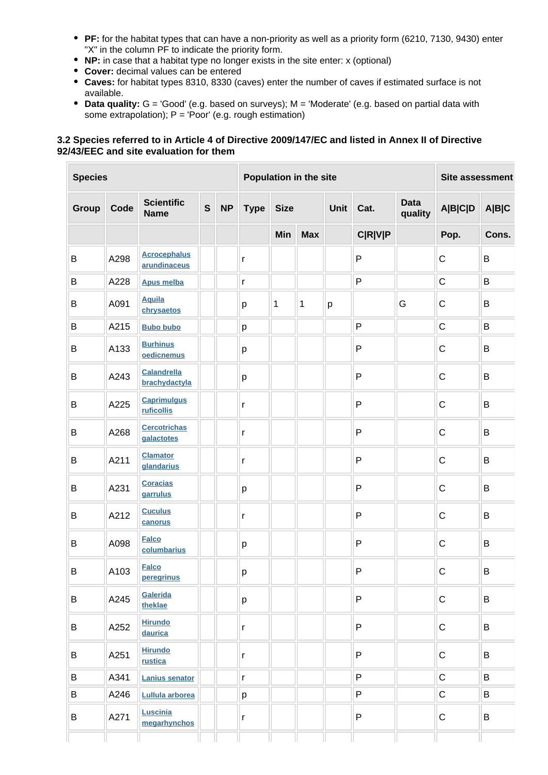- **PF:** for the habitat types that can have a non-priority as well as a priority form (6210, 7130, 9430) enter "X" in the column PF to indicate the priority form.
- **NP:** in case that a habitat type no longer exists in the site enter: x (optional)
- **Cover:** decimal values can be entered
- **Caves:** for habitat types 8310, 8330 (caves) enter the number of caves if estimated surface is not available.
- **Data quality:** G = 'Good' (e.g. based on surveys); M = 'Moderate' (e.g. based on partial data with some extrapolation);  $P = 'Poor'$  (e.g. rough estimation)

### **3.2 Species referred to in Article 4 of Directive 2009/147/EC and listed in Annex II of Directive 92/43/EEC and site evaluation for them**

| <b>Species</b> |      |                                     |              | Population in the site |              |             |              |             |                | Site assessment        |                |       |
|----------------|------|-------------------------------------|--------------|------------------------|--------------|-------------|--------------|-------------|----------------|------------------------|----------------|-------|
| Group          | Code | <b>Scientific</b><br><b>Name</b>    | $\mathbf{s}$ | <b>NP</b>              | <b>Type</b>  | <b>Size</b> |              | <b>Unit</b> | Cat.           | <b>Data</b><br>quality | <b>A B C D</b> | A B C |
|                |      |                                     |              |                        |              | Min         | <b>Max</b>   |             | <b>C R V P</b> |                        | Pop.           | Cons. |
| B              | A298 | <b>Acrocephalus</b><br>arundinaceus |              |                        | $\mathsf{r}$ |             |              |             | $\mathsf{P}$   |                        | $\mathsf C$    | B     |
| B              | A228 | <b>Apus melba</b>                   |              |                        | $\mathsf r$  |             |              |             | ${\sf P}$      |                        | $\mathsf C$    | B     |
| B              | A091 | <b>Aquila</b><br>chrysaetos         |              |                        | р            | 1           | $\mathbf{1}$ | р           |                | G                      | $\mathsf C$    | B     |
| B              | A215 | <b>Bubo bubo</b>                    |              |                        | p            |             |              |             | $\mathsf{P}$   |                        | $\mathsf C$    | B     |
| B              | A133 | <b>Burhinus</b><br>oedicnemus       |              |                        | р            |             |              |             | $\mathsf{P}$   |                        | $\mathsf C$    | B     |
| B              | A243 | Calandrella<br>brachydactyla        |              |                        | p            |             |              |             | $\mathsf{P}$   |                        | $\mathsf C$    | B     |
| B              | A225 | <b>Caprimulgus</b><br>ruficollis    |              |                        | $\mathsf{r}$ |             |              |             | $\mathsf{P}$   |                        | $\mathsf C$    | B     |
| B              | A268 | <b>Cercotrichas</b><br>galactotes   |              |                        | $\mathsf r$  |             |              |             | P              |                        | $\mathsf C$    | B     |
| B              | A211 | <b>Clamator</b><br>glandarius       |              |                        | $\mathsf r$  |             |              |             | $\mathsf{P}$   |                        | $\mathsf C$    | B     |
| B              | A231 | <b>Coracias</b><br>garrulus         |              |                        | р            |             |              |             | $\mathsf{P}$   |                        | $\mathsf C$    | B     |
| B              | A212 | <b>Cuculus</b><br>canorus           |              |                        | $\mathsf r$  |             |              |             | $\mathsf{P}$   |                        | $\mathsf C$    | B     |
| B              | A098 | <b>Falco</b><br>columbarius         |              |                        | р            |             |              |             | $\mathsf{P}$   |                        | $\mathsf C$    | B     |
| $\sf B$        | A103 | <b>Falco</b><br>peregrinus          |              |                        | р            |             |              |             | $\mathsf{P}$   |                        | $\mathsf C$    | B     |
| B              | A245 | Galerida<br>theklae                 |              |                        | p            |             |              |             | P              |                        | ${\bf C}$      | B     |
| B              | A252 | <b>Hirundo</b><br>daurica           |              |                        | $\mathsf{r}$ |             |              |             | $\mathsf{P}$   |                        | $\mathsf C$    | B     |
| B              | A251 | <b>Hirundo</b><br>rustica           |              |                        | $\mathsf{r}$ |             |              |             | $\mathsf{P}$   |                        | $\mathsf C$    | B     |
| B              | A341 | <b>Lanius senator</b>               |              |                        | $\mathsf{r}$ |             |              |             | $\sf P$        |                        | $\mathsf C$    | B     |
| B              | A246 | Lullula arborea                     |              |                        | р            |             |              |             | $\mathsf{P}$   |                        | $\mathsf C$    | B     |
| B              | A271 | Luscinia<br>megarhynchos            |              |                        | r            |             |              |             | $\mathsf{P}$   |                        | ${\bf C}$      | B     |
|                |      |                                     |              |                        |              |             |              |             |                |                        |                |       |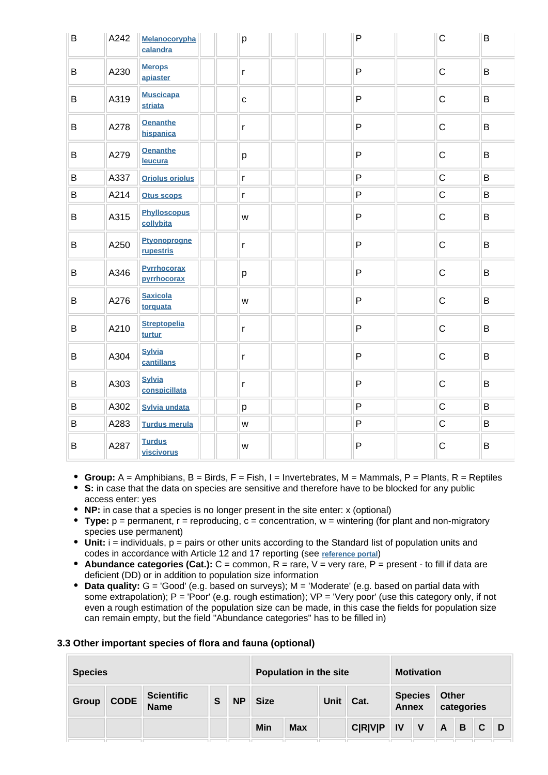| B | A242 | <b>Melanocorypha</b><br>calandra   | p                                                                                     | $\mathsf{P}$ | $\mathsf{C}$ | B |
|---|------|------------------------------------|---------------------------------------------------------------------------------------|--------------|--------------|---|
| B | A230 | <b>Merops</b><br>apiaster          | $\mathsf{r}$                                                                          | $\mathsf{P}$ | $\mathbf C$  | B |
| B | A319 | <b>Muscicapa</b><br><b>striata</b> | $\mathbf{C}$                                                                          | P            | $\mathsf C$  | B |
| B | A278 | <b>Oenanthe</b><br>hispanica       | r                                                                                     | P            | $\mathsf C$  | B |
| B | A279 | <b>Oenanthe</b><br>leucura         | p                                                                                     | P            | $\mathsf{C}$ | B |
| B | A337 | <b>Oriolus oriolus</b>             | $\mathsf{r}$                                                                          | P            | $\mathsf C$  | B |
| B | A214 | <b>Otus scops</b>                  | $\mathsf{r}$                                                                          | P            | $\mathsf C$  | B |
| B | A315 | <b>Phylloscopus</b><br>collybita   | W                                                                                     | P            | $\mathsf C$  | B |
| B | A250 | Ptyonoprogne<br>rupestris          | r                                                                                     | P            | $\mathsf C$  | B |
| B | A346 | Pyrrhocorax<br>pyrrhocorax         | p                                                                                     | P            | $\mathsf C$  | B |
| B | A276 | <b>Saxicola</b><br>torquata        | W                                                                                     | P            | $\mathsf C$  | B |
| B | A210 | <b>Streptopelia</b><br>turtur      | $\mathsf{r}$                                                                          | $\mathsf{P}$ | $\mathsf C$  | B |
| B | A304 | <b>Sylvia</b><br>cantillans        | r                                                                                     | $\mathsf{P}$ | $\mathsf C$  | B |
| B | A303 | <b>Sylvia</b><br>conspicillata     | r                                                                                     | P            | $\mathsf C$  | B |
| B | A302 | <b>Sylvia undata</b>               | p                                                                                     | P            | $\mathsf C$  | B |
| B | A283 | <b>Turdus merula</b>               | $\mathsf{W}% _{T}=\mathsf{W}_{T}\!\left( a,b\right) ,\ \mathsf{W}_{T}=\mathsf{W}_{T}$ | $\mathsf{P}$ | $\mathsf C$  | B |
| B | A287 | <b>Turdus</b><br>viscivorus        | W                                                                                     | $\mathsf{P}$ | $\mathsf C$  | B |

- **Group:**  $A =$  Amphibians,  $B =$  Birds,  $F =$  Fish,  $I =$  Invertebrates,  $M =$  Mammals,  $P =$  Plants,  $R =$  Reptiles
- **S:** in case that the data on species are sensitive and therefore have to be blocked for any public access enter: yes
- **NP:** in case that a species is no longer present in the site enter: x (optional)
- **Type:** p = permanent, r = reproducing, c = concentration, w = wintering (for plant and non-migratory species use permanent)
- Unit: i = individuals, p = pairs or other units according to the Standard list of population units and codes in accordance with Article 12 and 17 reporting (see **[reference portal](http://bd.eionet.europa.eu/activities/Natura_2000/reference_portal)**)
- **Abundance categories (Cat.):** C = common, R = rare, V = very rare, P = present to fill if data are deficient (DD) or in addition to population size information
- **Data quality:** G = 'Good' (e.g. based on surveys); M = 'Moderate' (e.g. based on partial data with some extrapolation);  $P = 'Poor'$  (e.g. rough estimation);  $VP = 'Verv$  poor' (use this category only, if not even a rough estimation of the population size can be made, in this case the fields for population size can remain empty, but the field "Abundance categories" has to be filled in)

#### **3.3 Other important species of flora and fauna (optional)**

| <b>Species</b> |             |                                  |   | <b>Population in the site</b> |             |            |      | <b>Motivation</b> |                                |              |                     |                |    |  |
|----------------|-------------|----------------------------------|---|-------------------------------|-------------|------------|------|-------------------|--------------------------------|--------------|---------------------|----------------|----|--|
| Group          | <b>CODE</b> | <b>Scientific</b><br><b>Name</b> | S | <b>NP</b>                     | <b>Size</b> |            | Unit | Cat.              | <b>Species</b><br><b>Annex</b> |              | Other<br>categories |                |    |  |
|                |             |                                  |   |                               | Min         | <b>Max</b> |      | <b>C R V P</b>    | IV                             | $\mathbf{V}$ | $\mathsf{A}$        | $\overline{B}$ | C. |  |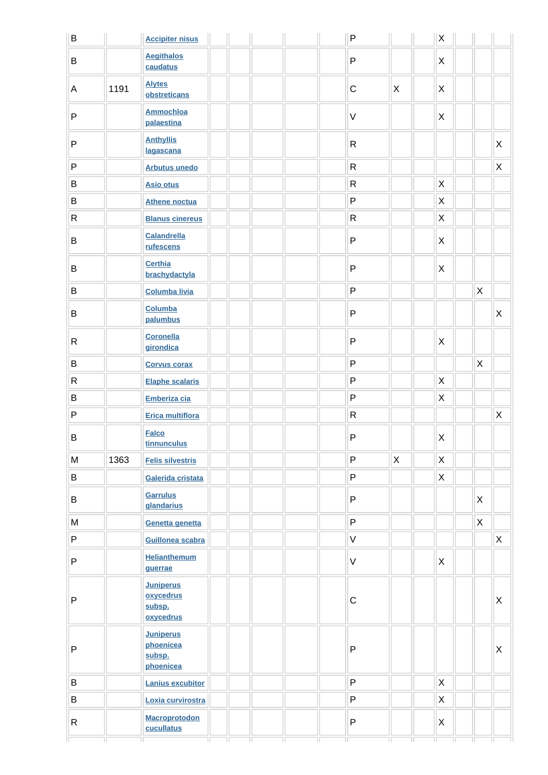| $\sf B$      |      | <b>Accipiter nisus</b>                               | ${\sf P}$    |             | $\mathsf X$  |                    |             |
|--------------|------|------------------------------------------------------|--------------|-------------|--------------|--------------------|-------------|
| B            |      | <b>Aegithalos</b><br>caudatus                        | $\mathsf{P}$ |             | $\mathsf{X}$ |                    |             |
| A            | 1191 | <b>Alytes</b><br>obstreticans                        | $\mathsf C$  | X           | X            |                    |             |
| $\mathsf{P}$ |      | <b>Ammochloa</b><br>palaestina                       | $\mathsf V$  |             | $\mathsf{X}$ |                    |             |
| ${\sf P}$    |      | <b>Anthyllis</b><br>lagascana                        | ${\sf R}$    |             |              |                    | X           |
| $\sf P$      |      | <b>Arbutus unedo</b>                                 | ${\sf R}$    |             |              |                    | $\mathsf X$ |
| B            |      | <b>Asio otus</b>                                     | ${\sf R}$    |             | $\mathsf{X}$ |                    |             |
| B            |      | <b>Athene noctua</b>                                 | $\sf P$      |             | $\mathsf{X}$ |                    |             |
| ${\sf R}$    |      | <b>Blanus cinereus</b>                               | $\mathsf{R}$ |             | $\mathsf{X}$ |                    |             |
| B            |      | <b>Calandrella</b><br>rufescens                      | $\mathsf{P}$ |             | $\mathsf{X}$ |                    |             |
| B            |      | <b>Certhia</b><br>brachydactyla                      | $\mathsf{P}$ |             | $\mathsf{X}$ |                    |             |
| $\sf B$      |      | <b>Columba livia</b>                                 | ${\sf P}$    |             |              | $\sf X$            |             |
| $\sf B$      |      | Columba<br>palumbus                                  | $\mathsf{P}$ |             |              |                    | X           |
| ${\sf R}$    |      | <b>Coronella</b><br>girondica                        | ${\sf P}$    |             | X            |                    |             |
| $\sf B$      |      | <b>Corvus corax</b>                                  | $\sf P$      |             |              | X                  |             |
| ${\sf R}$    |      | <b>Elaphe scalaris</b>                               | $\sf P$      |             | $\mathsf{X}$ |                    |             |
| B            |      | Emberiza cia                                         | $\mathsf P$  |             | X            |                    |             |
| $\sf P$      |      | <b>Erica multiflora</b>                              | ${\sf R}$    |             |              |                    | $\mathsf X$ |
| B            |      | <b>Falco</b><br>tinnunculus                          | $\sf P$      |             | $\mathsf X$  |                    |             |
| M            | 1363 | <b>Felis silvestris</b>                              | ${\sf P}$    | $\mathsf X$ | $\mathsf{X}$ |                    |             |
| B            |      | Galerida cristata                                    | $\mathsf{P}$ |             | X            |                    |             |
| B            |      | Garrulus<br>glandarius                               | ${\sf P}$    |             |              | $\mathsf{X}$       |             |
| M            |      | Genetta genetta                                      | $\sf P$      |             |              | $\mathsf{X}% _{0}$ |             |
| ${\sf P}$    |      | Guillonea scabra                                     | $\sf V$      |             |              |                    | $\mathsf X$ |
| $\sf P$      |      | <b>Helianthemum</b><br>guerrae                       | $\mathsf V$  |             | $\mathsf{X}$ |                    |             |
| $\mathsf{P}$ |      | <b>Juniperus</b><br>oxycedrus<br>subsp.<br>oxycedrus | $\mathsf C$  |             |              |                    | X           |
| $\sf P$      |      | <b>Juniperus</b><br>phoenicea<br>subsp.<br>phoenicea | $\sf P$      |             |              |                    | X           |
| B            |      | <b>Lanius excubitor</b>                              | ${\sf P}$    |             | $\mathsf X$  |                    |             |
| $\, {\bf B}$ |      | Loxia curvirostra                                    | ${\sf P}$    |             | X            |                    |             |
| ${\sf R}$    |      | <b>Macroprotodon</b>                                 | ${\sf P}$    |             | $\mathsf{X}$ |                    |             |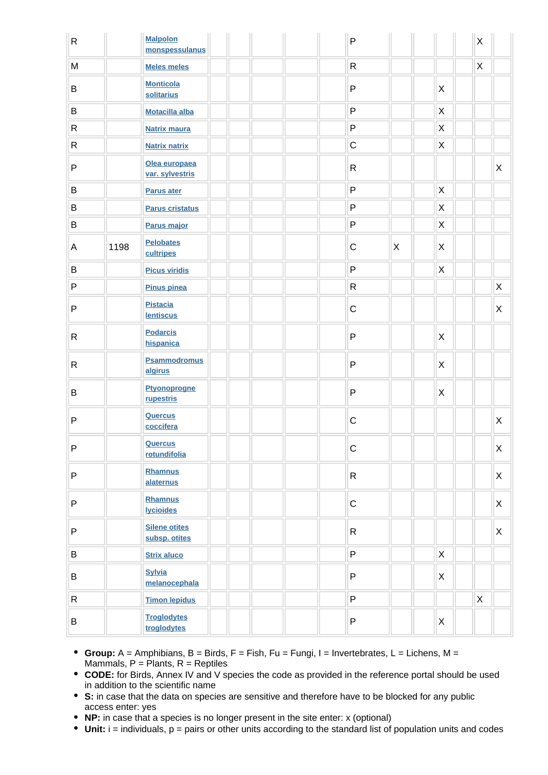| $\mathsf{R}$ |      | <b>Malpolon</b><br>monspessulanus     |  |  | $\mathsf{P}$ |   |                | X |                           |
|--------------|------|---------------------------------------|--|--|--------------|---|----------------|---|---------------------------|
| ${\sf M}$    |      | <b>Meles meles</b>                    |  |  | $\mathsf R$  |   |                | X |                           |
| B            |      | <b>Monticola</b><br>solitarius        |  |  | ${\sf P}$    |   | X              |   |                           |
| $\sf B$      |      | <b>Motacilla alba</b>                 |  |  | ${\sf P}$    |   | $\mathsf X$    |   |                           |
| ${\sf R}$    |      | <b>Natrix maura</b>                   |  |  | ${\sf P}$    |   | $\pmb{\times}$ |   |                           |
| R            |      | <b>Natrix natrix</b>                  |  |  | $\mathsf C$  |   | X              |   |                           |
| $\sf P$      |      | Olea europaea<br>var. sylvestris      |  |  | $\mathsf R$  |   |                |   | $\boldsymbol{\mathsf{X}}$ |
| $\sf B$      |      | <b>Parus ater</b>                     |  |  | ${\sf P}$    |   | $\pmb{\times}$ |   |                           |
| $\sf B$      |      | <b>Parus cristatus</b>                |  |  | ${\sf P}$    |   | X              |   |                           |
| B            |      | Parus major                           |  |  | ${\sf P}$    |   | $\mathsf X$    |   |                           |
| A            | 1198 | <b>Pelobates</b><br>cultripes         |  |  | $\mathsf C$  | X | X              |   |                           |
| $\sf B$      |      | <b>Picus viridis</b>                  |  |  | $\mathsf{P}$ |   | X              |   |                           |
| P            |      | <b>Pinus pinea</b>                    |  |  | ${\sf R}$    |   |                |   | X                         |
| $\mathsf{P}$ |      | <b>Pistacia</b><br><b>lentiscus</b>   |  |  | $\mathsf C$  |   |                |   | X                         |
| R            |      | <b>Podarcis</b><br>hispanica          |  |  | ${\sf P}$    |   | X              |   |                           |
| R            |      | <b>Psammodromus</b><br>algirus        |  |  | ${\sf P}$    |   | X              |   |                           |
| B            |      | <b>Ptyonoprogne</b><br>rupestris      |  |  | ${\sf P}$    |   | X              |   |                           |
| $\mathsf{P}$ |      | <b>Quercus</b><br>coccifera           |  |  | $\mathsf C$  |   |                |   | X                         |
| P            |      | <b>Quercus</b><br>rotundifolia        |  |  | $\mathsf C$  |   |                |   | $\mathsf X$               |
| P            |      | Rhamnus<br>alaternus                  |  |  | $\mathsf{R}$ |   |                |   | X                         |
| P            |      | <b>Rhamnus</b><br><b>lycioides</b>    |  |  | $\mathsf C$  |   |                |   | $\mathsf X$               |
| ${\sf P}$    |      | <b>Silene otites</b><br>subsp. otites |  |  | $\mathsf{R}$ |   |                |   | X                         |
| $\, {\bf B}$ |      | <b>Strix aluco</b>                    |  |  | P            |   | X              |   |                           |
| B            |      | <b>Sylvia</b><br>melanocephala        |  |  | ${\sf P}$    |   | $\mathsf{X}$   |   |                           |
| $\mathsf{R}$ |      | <b>Timon lepidus</b>                  |  |  | P            |   |                | X |                           |
| B            |      | <b>Troglodytes</b><br>troglodytes     |  |  | ${\sf P}$    |   | $\mathsf{X}$   |   |                           |

- **Group:** A = Amphibians, B = Birds, F = Fish, Fu = Fungi, I = Invertebrates, L = Lichens, M = Mammals,  $P =$  Plants,  $R =$  Reptiles
- **CODE:** for Birds, Annex IV and V species the code as provided in the reference portal should be used in addition to the scientific name
- **S:** in case that the data on species are sensitive and therefore have to be blocked for any public access enter: yes
- **NP:** in case that a species is no longer present in the site enter: x (optional)
- **Unit:** i = individuals, p = pairs or other units according to the standard list of population units and codes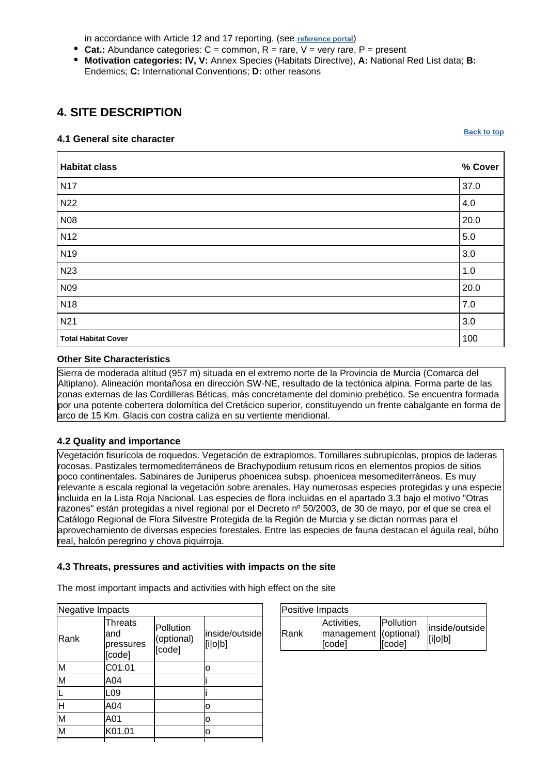in accordance with Article 12 and 17 reporting, (see **[reference portal](http://bd.eionet.europa.eu/activities/Natura_2000/reference_portal)**)

- **Cat.:** Abundance categories:  $C =$  common,  $R =$  rare,  $V =$  very rare,  $P =$  present
- **Motivation categories: IV, V:** Annex Species (Habitats Directive), **A:** National Red List data; **B:** Endemics; **C:** International Conventions; **D:** other reasons

# <span id="page-6-0"></span>**4. SITE DESCRIPTION**

#### **4.1 General site character**

**[Back to top](#page-0-0)**

| <b>Habitat class</b>       | % Cover |
|----------------------------|---------|
| <b>N17</b>                 | 37.0    |
| <b>N22</b>                 | 4.0     |
| <b>N08</b>                 | 20.0    |
| N <sub>12</sub>            | 5.0     |
| N <sub>19</sub>            | 3.0     |
| N <sub>23</sub>            | 1.0     |
| N <sub>09</sub>            | 20.0    |
| N <sub>18</sub>            | 7.0     |
| N21                        | 3.0     |
| <b>Total Habitat Cover</b> | 100     |

### **Other Site Characteristics**

Sierra de moderada altitud (957 m) situada en el extremo norte de la Provincia de Murcia (Comarca del Altiplano). Alineación montañosa en dirección SW-NE, resultado de la tectónica alpina. Forma parte de las zonas externas de las Cordilleras Béticas, más concretamente del dominio prebético. Se encuentra formada por una potente cobertera dolomítica del Cretácico superior, constituyendo un frente cabalgante en forma de arco de 15 Km. Glacis con costra caliza en su vertiente meridional.

# **4.2 Quality and importance**

Vegetación fisurícola de roquedos. Vegetación de extraplomos. Tomillares subrupícolas, propios de laderas rocosas. Pastizales termomediterráneos de Brachypodium retusum ricos en elementos propios de sitios poco continentales. Sabinares de Juniperus phoenicea subsp. phoenicea mesomediterráneos. Es muy relevante a escala regional la vegetación sobre arenales. Hay numerosas especies protegidas y una especie incluida en la Lista Roja Nacional. Las especies de flora incluidas en el apartado 3.3 bajo el motivo "Otras razones" están protegidas a nivel regional por el Decreto nº 50/2003, de 30 de mayo, por el que se crea el Catálogo Regional de Flora Silvestre Protegida de la Región de Murcia y se dictan normas para el aprovechamiento de diversas especies forestales. Entre las especies de fauna destacan el águila real, búho real, halcón peregrino y chova piquirroja.

#### **4.3 Threats, pressures and activities with impacts on the site**

The most important impacts and activities with high effect on the site

| Negative Impacts        |                                       |                                   |                           |  |
|-------------------------|---------------------------------------|-----------------------------------|---------------------------|--|
| Rank                    | Threats<br>and<br>pressures<br>[code] | Pollution<br>(optional)<br>[code] | inside/outside<br>[i o b] |  |
| M                       | C01.01                                |                                   | o                         |  |
| $\overline{\mathsf{M}}$ | A04                                   |                                   |                           |  |
|                         | L09                                   |                                   |                           |  |
| H                       | A04                                   |                                   | o                         |  |
| M                       | A01                                   |                                   | o                         |  |
| M                       | K01.01                                |                                   | ი                         |  |

| Positive Impacts |                                                |                     |                           |
|------------------|------------------------------------------------|---------------------|---------------------------|
| <b>IRank</b>     | Activities,<br>management (optional)<br>[code] | Pollution<br>[code] | inside/outside<br>[i o b] |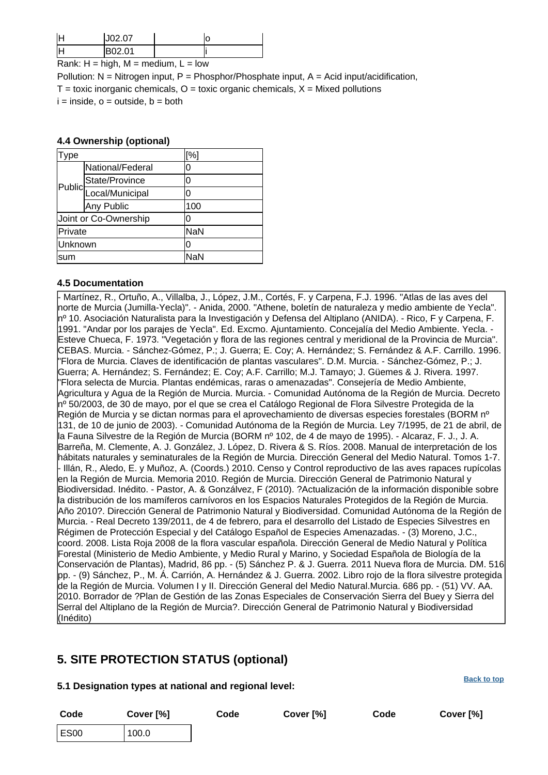|        | 10207     |               |  |
|--------|-----------|---------------|--|
|        | $\sim$ 01 |               |  |
| .<br>. | .         | $\sim$<br>. . |  |

Rank:  $H = high$ ,  $M = medium$ ,  $L = low$ 

Pollution:  $N =$  Nitrogen input, P = Phosphor/Phosphate input, A = Acid input/acidification,  $T =$  toxic inorganic chemicals,  $Q =$  toxic organic chemicals,  $X =$  Mixed pollutions  $i = inside.$   $o = outside.$   $b = both$ 

#### **4.4 Ownership (optional)**

| ype     |                           | [%]        |  |
|---------|---------------------------|------------|--|
|         | National/Federal          | 0          |  |
|         | State/Province            | 0          |  |
|         | Public<br>Local/Municipal | ი          |  |
|         | Any Public                | 100        |  |
|         | Joint or Co-Ownership     | 0          |  |
| Private |                           | <b>NaN</b> |  |
| Unknown |                           | Ω          |  |
| sum     |                           | NaN        |  |

#### **4.5 Documentation**

- Martínez, R., Ortuño, A., Villalba, J., López, J.M., Cortés, F. y Carpena, F.J. 1996. "Atlas de las aves del norte de Murcia (Jumilla-Yecla)".
- Anida, 2000. "Athene, boletín de naturaleza y medio ambiente de Yecla". nº 10. Asociación Naturalista para la Investigación y Defensa del Altiplano (ANIDA).
- Rico, F y Carpena, F. 1991. "Andar por los parajes de Yecla". Ed. Excmo. Ajuntamiento. Concejalía del Medio Ambiente. Yecla.
- Esteve Chueca, F. 1973. "Vegetación y flora de las regiones central y meridional de la Provincia de Murcia". CEBAS. Murcia. - Sánchez-Gómez, P.; J. Guerra; E. Coy; A. Hernández; S. Fernández & A.F. Carrillo. 1996. "Flora de Murcia. Claves de identificación de plantas vasculares". D.M. Murcia.
- Sánchez-Gómez, P.; J. Guerra; A. Hernández; S. Fernández; E. Coy; A.F. Carrillo; M.J. Tamayo; J. Güemes & J. Rivera. 1997. "Flora selecta de Murcia. Plantas endémicas, raras o amenazadas". Consejería de Medio Ambiente, Agricultura y Agua de la Región de Murcia. Murcia. - Comunidad Autónoma de la Región de Murcia. Decreto nº 50/2003, de 30 de mayo, por el que se crea el Catálogo Regional de Flora Silvestre Protegida de la Región de Murcia y se dictan normas para el aprovechamiento de diversas especies forestales (BORM nº 131, de 10 de junio de 2003). - Comunidad Autónoma de la Región de Murcia. Ley 7/1995, de 21 de abril, de la Fauna Silvestre de la Región de Murcia (BORM nº 102, de 4 de mayo de 1995).
- Alcaraz, F. J., J. A. Barreña, M. Clemente, A. J. González, J. López, D. Rivera & S. Ríos. 2008. Manual de interpretación de los hábitats naturales y seminaturales de la Región de Murcia. Dirección General del Medio Natural. Tomos 1-7. - Illán, R., Aledo, E. y Muñoz, A. (Coords.) 2010. Censo y Control reproductivo de las aves rapaces rupícolas en la Región de Murcia. Memoria 2010. Región de Murcia. Dirección General de Patrimonio Natural y Biodiversidad. Inédito. - Pastor, A. & Gonzálvez, F (2010). ?Actualización de la información disponible sobre la distribución de los mamíferos carnívoros en los Espacios Naturales Protegidos de la Región de Murcia. Año 2010?. Dirección General de Patrimonio Natural y Biodiversidad. Comunidad Autónoma de la Región de Murcia.
- Real Decreto 139/2011, de 4 de febrero, para el desarrollo del Listado de Especies Silvestres en Régimen de Protección Especial y del Catálogo Español de Especies Amenazadas.
- (3) Moreno, J.C., coord. 2008. Lista Roja 2008 de la flora vascular española. Dirección General de Medio Natural y Política Forestal (Ministerio de Medio Ambiente, y Medio Rural y Marino, y Sociedad Española de Biología de la Conservación de Plantas), Madrid, 86 pp.
- (5) Sánchez P. & J. Guerra. 2011 Nueva flora de Murcia. DM. 516 pp.
- (9) Sánchez, P., M. Á. Carrión, A. Hernández & J. Guerra. 2002. Libro rojo de la flora silvestre protegida de la Región de Murcia. Volumen I y II. Dirección General del Medio Natural.Murcia. 686 pp.
- (51) VV. AA. 2010. Borrador de ?Plan de Gestión de las Zonas Especiales de Conservación Sierra del Buey y Sierra del Serral del Altiplano de la Región de Murcia?. Dirección General de Patrimonio Natural y Biodiversidad (Inédito)

# <span id="page-7-0"></span>**5. SITE PROTECTION STATUS (optional)**

#### **5.1 Designation types at national and regional level:**

**Code Cover [%] Code Cover [%] Code Cover [%]** ES00 100.0

**[Back to top](#page-0-0)**